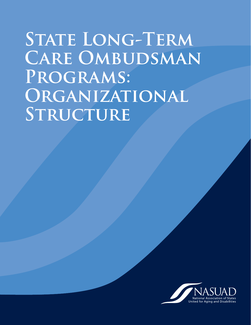# STATE LONG-TERM **CARE OMBUDSMAN Programs: Organizational**  STRUCTURE

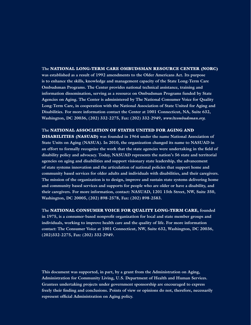#### **The** NATIONAL LONG-TERM CARE OMBUDSMAN RESOURCE CENTER (NORC)

**was established as a result of 1992 amendments to the Older Americans Act. Its purpose is to enhance the skills, knowledge and management capacity of the State Long-Term Care Ombudsman Programs. The Center provides national technical assistance, training and information dissemination, serving as a resource on Ombudsman Programs funded by State Agencies on Aging. The Center is administered by The National Consumer Voice for Quality Long-Term Care, in cooperation with the National Association of State United for Aging and Disabilities. For more information contact the Center at 1001 Connecticut, NA, Suite 632, Washington, DC 20036, (202) 332-2275, Fax: (202) 332-2949,** *www.ltcombudsman.org.*

#### **The** NATIONAL ASSOCIATION OF STATES UNITED FOR AGING AND

DISABILITIES (NASUAD) **was founded in 1964 under the name National Association of State Units on Aging (NASUA). In 2010, the organization changed its name to NASUAD in an effort to formally recognize the work that the state agencies were undertaking in the field of disability policy and advocacy. Today, NASUAD represents the nation's 56 state and territorial agencies on aging and disabilities and support visionary state leadership, the advancement of state systems innovation and the articulation of national policies that support home and community based services for older adults and individuals with disabilities, and their caregivers. The mission of the organization is to design, improve and sustain state systems delivering home and community based services and supports for people who are older or have a disability, and their caregivers. For more information, contact: NASUAD, 1201 15th Street, NW, Suite 350, Washington, DC 20005, (202) 898-2578, Fax: (202) 898-2583.** 

**The** NATIONAL CONSUMER VOICE FOR QUALITY LONG-TERM CARE, **founded in 1975, is a consumer-based nonprofit organization for local and state member groups and individuals, working to improve health care and the quality of life. For more information contact: The Consumer Voice at 1001 Connecticut, NW, Suite 632, Washington, DC 20036, (202)332-2275, Fax: (202) 332-2949.**

**This document was supported, in part, by a grant from the Administration on Aging, Administration for Community Living, U.S. Department of Health and Human Services. Grantees undertaking projects under government sponsorship are encouraged to express freely their finding and conclusions. Points of view or opinions do not, therefore, necessarily represent official Administration on Aging policy.**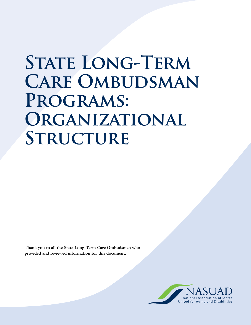# **STATE LONG-TERM CARE OMBUDSMAN Programs: Organizational STRUCTURE**

**Thank you to all the State Long-Term Care Ombudsmen who provided and reviewed information for this document.**

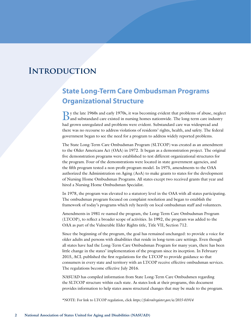### **Introduction**

### **State Long-Term Care Ombudsman Programs Organizational Structure**

By the late 1960s and early 1970s, it was becoming evident that problems of abuse, neglect and substandard care existed in nursing homes nationwide. The long-term care industry had grown unregulated and problems were evident. Substandard care was widespread and there was no recourse to address violations of residents' rights, health, and safety. The federal government began to see the need for a program to address widely reported problems.

The State Long-Term Care Ombudsman Program (SLTCOP) was created as an amendment to the Older Americans Act (OAA) in 1972. It began as a demonstration project. The original five demonstration programs were established to test different organizational structures for the program. Four of the demonstrations were located in state government agencies, and the fifth program tested a non-profit program model. In 1975, amendments to the OAA authorized the Administration on Aging (AoA) to make grants to states for the development of Nursing Home Ombudsman Programs. All states except two received grants that year and hired a Nursing Home Ombudsman Specialist.

In 1978, the program was elevated to a statutory level in the OAA with all states participating. The ombudsman program focused on complaint resolution and began to establish the framework of today's programs which rely heavily on local ombudsman staff and volunteers.

Amendments in 1981 re-named the program, the Long-Term Care Ombudsman Program (LTCOP), to reflect a broader scope of activities. In 1992, the program was added to the OAA as part of the Vulnerable Elder Rights title, Title VII, Section 712.

Since the beginning of the program, the goal has remained unchanged: to provide a voice for older adults and persons with disabilities that reside in long-term care settings. Even though all states have had the Long-Term Care Ombudsman Program for many years, there has been little change in the states' implementation of the program since its inception. In February 2015, ACL published the first regulations for the LTCOP to provide guidance so that consumers in every state and territory with an LTCOP receive effective ombudsman services. The regulations become effective July 2016.

NASUAD has compiled information from State Long-Term Care Ombudsmen regarding the SLTCOP structure within each state. As states look at their programs, this document provides information to help states assess structural changes that may be made to the program.

\*NOTE: For link to LTCOP regulation, click *https://federalregister.gov/a/2015-01914*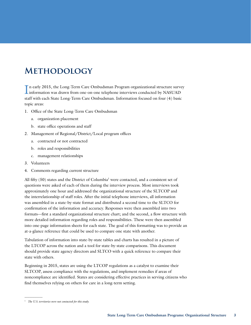### **Methodology**

In early 2015, the Long-Term Care Ombudsman Program organizational structure surve<br>information was drawn from one-on-one telephone interviews conducted by NASUAD n early 2015, the Long-Term Care Ombudsman Program organizational structure survey staff with each State Long-Term Care Ombudsman. Information focused on four (4) basic topic areas:

- 1. Office of the State Long-Term Care Ombudsman
	- a. organization placement
	- b. state office operations and staff
- 2. Management of Regional/District/Local program offices
	- a. contracted or not contracted
	- b. roles and responsibilities
	- c. management relationships
- 3. Volunteers
- 4. Comments regarding current structure

All fifty  $(50)$  states and the District of Columbia<sup>1</sup> were contacted, and a consistent set of questions were asked of each of them during the interview process. Most interviews took approximately one hour and addressed the organizational structure of the SLTCOP and the interrelationship of staff roles. After the initial telephone interviews, all information was assembled in a state-by-state format and distributed a second time to the SLTCO for confirmation of the information and accuracy. Responses were then assembled into two formats—first a standard organizational structure chart; and the second, a flow structure with more detailed information regarding roles and responsibilities. These were then assembled into one-page information sheets for each state. The goal of this formatting was to provide an at-a-glance reference that could be used to compare one state with another.

Tabulation of information into state-by-state tables and charts has resulted in a picture of the LTCOP across the nation and a tool for state-by-state comparisons. This document should provide state agency directors and SLTCO with a quick reference to compare their state with others.

Beginning in 2015, states are using the LTCOP regulations as a catalyst to examine their SLTCOP, assess compliance with the regulations, and implement remedies if areas of noncompliance are identified. States are considering effective practices in serving citizens who find themselves relying on others for care in a long-term setting.

 $\overline{\phantom{a}}$  , where  $\overline{\phantom{a}}$ 

<sup>1</sup> *The U.S. territories were not contacted for this study.*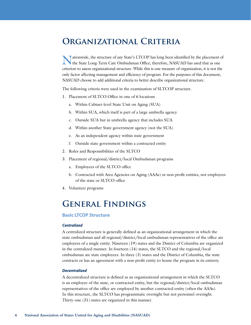### **Organizational Criteria**

Altionwide, the structure of any State's LTCOP has long been identified by the placement of the State Long-Term Care Ombudsman Office; therefore, NASUAD has used that as one criterion to assess organizational structure. While this is one measure of organization, it is not the only factor affecting management and efficiency of program. For the purposes of this document, NASUAD choose to add additional criteria to better describe organizational structure.

The following criteria were used in the examination of SLTCOP structure.

- 1. Placement of SLTCO Office in one of 6 locations
	- a. Within Cabinet-level State Unit on Aging (SUA)
	- b. Within SUA, which itself is part of a large umbrella agency
	- c. Outside SUA but in umbrella agency that includes SUA
	- d. Within another State government agency (not the SUA)
	- e. As an independent agency within state government
	- f. Outside state government within a contracted entity
- 2. Roles and Responsibilities of the SLTCO
- 3. Placement of regional/district/local Ombudsman programs
	- a. Employees of the SLTCO office
	- b. Contracted with Area Agencies on Aging (AAAs) or non-profit entities, not employees of the state or SLTCO office
- 4. Volunteer programs

### **General Findings**

#### **Basic LTCOP Structure**

#### *Centralized*

A centralized structure is generally defined as an organizational arrangement in which the state ombudsman and all regional/district/local ombudsman representatives of the office are employees of a single entity. Nineteen (19) states and the District of Columbia are organized in the centralized manner. In fourteen (14) states, the SLTCO and the regional/local ombudsman are state employees. In three (3) states and the District of Columbia, the state contracts or has an agreement with a non-profit entity to house the program in its entirety.

#### *Decentralized*

A decentralized structure is defined as an organizational arrangement in which the SLTCO is an employee of the state, or contracted entity, but the regional/district/local ombudsman representatives of the office are employed by another contracted entity (often the AAAs). In this structure, the SLTCO has programmatic oversight but not personnel oversight. Thirty-one (31) states are organized in this manner.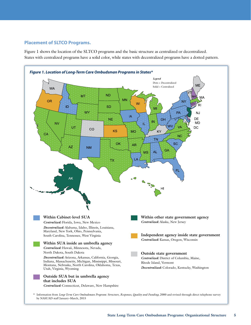#### **Placement of SLTCO Programs.**

Figure 1 shows the location of the SLTCO programs and the basic structure as centralized or decentralized. States with centralized programs have a solid color, while states with decentralized programs have a dotted pattern.

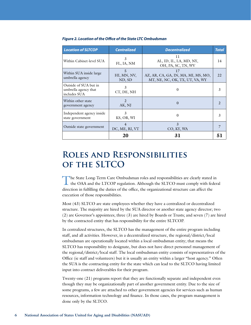| <b>Location of SLTCOP</b>                                     | <b>Centralized</b>         | <b>Decentralized</b>                                                        | <b>Total</b> |
|---------------------------------------------------------------|----------------------------|-----------------------------------------------------------------------------|--------------|
| Within Cabinet-level SUA                                      | 3<br>FL, IA, NM            | П<br>AL, ID, IL, LA, MD, NY,<br>OH, PA, SC, TN, WV                          |              |
| Within SUA inside large<br>umbrella agency                    | 5<br>HI, MN, NV,<br>ND, SD | 17<br>AZ, AR, CA, GA, IN, MA, MI, MS, MO,<br>MT, NE, NC, OK, TX, UT, VA, WY | 22           |
| Outside of SUA but in<br>umbrella agency that<br>includes SUA | 3<br>CT, DE, NH            | 0                                                                           | 3            |
| Within other state<br>government agency                       | $\mathfrak{D}$<br>AK, NJ   | $\Omega$                                                                    |              |
| Independent agency inside<br>state government                 | 3<br>KS, OR, WI            | $\theta$                                                                    |              |
| Outside state government                                      | DC, ME, RI, VT             | $\overline{3}$<br>CO, KY, WA                                                |              |
|                                                               | 20                         | 31                                                                          | 51           |

#### *Figure 2. Location of the Office of the State LTC Ombudsman*

### **Roles and Responsibilities of the SLTCO**

The State Long-Term Care Ombudsman roles and responsibilities are clearly stated in **the OAA and the LTCOP regulation. Although the SLTCO must comply with federal** direction in fulfilling the duties of the office, the organizational structure can affect the execution of those responsibilities.

Most (43) SLTCO are state employees whether they have a centralized or decentralized structure. The majority are hired by the SUA director or another state agency director; two (2) are Governor's appointees; three (3) are hired by Boards or Trusts; and seven (7) are hired by the contracted entity that has responsibility for the entire SLTCOP.

In centralized structures, the SLTCO has the management of the entire program including staff, and all activities. However, in a decentralized structure, the regional/district/local ombudsman are operationally located within a local ombudsman entity; that means the SLTCO has responsibility to designate, but does not have direct personnel management of the regional/district/local staff. The local ombudsman entity consists of representatives of the Office (ie staff and volunteers) but it is usually an entity within a larger "host agency." Often the SUA is the contracting entity for the state which can lead to the SLTCO having limited input into contract deliverables for their program.

Twenty-one (21) programs report that they are functionally separate and independent even though they may be organizationally part of another government entity. Due to the size of some programs, a few are attached to other government agencies for services such as human resources, information technology and finance. In those cases, the program management is done only by the SLTCO.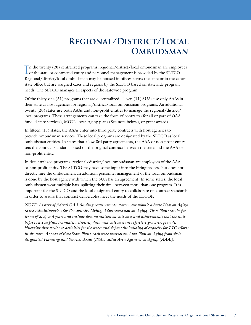### **Regional/District/Local OMBUDSMAN**

In the twenty (20) centralized programs, regional/district/local ombudsman are employees of the state or contracted entity and personnel management is provided by the SLTCO. of the state or contracted entity and personnel management is provided by the SLTCO. Regional/district/local ombudsman may be housed in offices across the state or in the central state office but are assigned cases and regions by the SLTCO based on statewide program needs. The SLTCO manages all aspects of the statewide program.

Of the thirty-one (31) programs that are decentralized, eleven (11) SUAs use only AAAs in their state as host agencies for regional/district/local ombudsman programs. An additional twenty (20) states use both AAAs and non-profit entities to manage the regional/district/ local programs. These arrangements can take the form of contracts (for all or part of OAA funded state services), MOUs, Area Aging plans (See note below), or grant awards.

In fifteen (15) states, the AAAs enter into third party contracts with host agencies to provide ombudsman services. These local programs are designated by the SLTCO as local ombudsman entities. In states that allow 3rd party agreements, the AAA or non-profit entity sets the contract standards based on the original contract between the state and the AAA or non-profit entity.

In decentralized programs, regional/district/local ombudsman are employees of the AAA or non-profit entity. The SLTCO may have some input into the hiring process but does not directly hire the ombudsmen. In addition, personnel management of the local ombudsman is done by the host agency with which the SUA has an agreement. In some states, the local ombudsmen wear multiple hats, splitting their time between more than one program. It is important for the SLTCO and the local designated entity to collaborate on contract standards in order to assure that contract deliverables meet the needs of the LTCOP.

*NOTE: As part of federal OAA funding requirements, states must submit a State Plan on Aging to the Administration for Community Living, Administration on Aging. These Plans can be for terms of 2, 3, or 4 years and include documentation on outcomes and achievements that the state hopes to accomplish; translates activities, data and outcomes into effective practice; provides a blueprint that spells out activities for the state; and defines the building of capacity for LTC efforts in the state. As part of these State Plans, each state receives an Area Plan on Aging from their designated Planning and Services Areas (PSAs) called Area Agencies on Aging (AAAs).*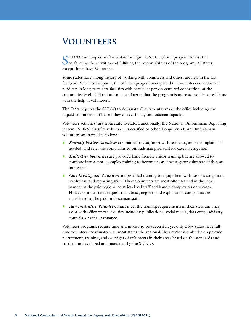### **Volunteers**

SLTCOP use unpaid staff in a state or regional/district/local program to assist in performing the activities and fulfilling the responsibilities of the program. All states, except three, have Volunteers.

Some states have a long history of working with volunteers and others are new in the last few years. Since its inception, the SLTCO program recognized that volunteers could serve residents in long-term care facilities with particular person-centered connections at the community level. Paid ombudsman staff agree that the program is more accessible to residents with the help of volunteers.

The OAA requires the SLTCO to designate all representatives of the office including the unpaid volunteer staff before they can act in any ombudsman capacity.

Volunteer activities vary from state to state. Functionally, the National Ombudsman Reporting System (NORS) classifies volunteers as certified or other. Long-Term Care Ombudsman volunteers are trained as follows:

- n *Friendly Visitor Volunteers* are trained to visit/meet with residents, intake complaints if needed, and refer the complaints to ombudsman paid staff for case investigation.
- *Multi-Tier Volunteers* are provided basic friendly visitor training but are allowed to continue into a more complex training to become a case investigator volunteer, if they are interested.
- **n** *Case Investigator Volunteers* are provided training to equip them with case investigation, resolution, and reporting skills. These volunteers are most often trained in the same manner as the paid regional/district/local staff and handle complex resident cases. However, most states request that abuse, neglect, and exploitation complaints are transferred to the paid ombudsman staff.
- *Administrative Volunteers* must meet the training requirements in their state and may assist with office or other duties including publications, social media, data entry, advisory councils, or office assistance.

Volunteer programs require time and money to be successful, yet only a few states have fulltime volunteer coordinators. In most states, the regional/district/local ombudsmen provide recruitment, training, and oversight of volunteers in their areas based on the standards and curriculum developed and mandated by the SLTCO.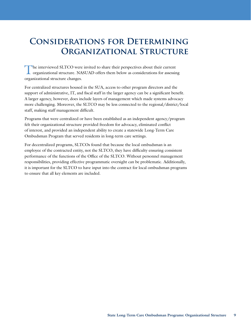### **Considerations for Determining Organizational Structure**

The interviewed SLTCO were invited to share their perspectives about their current organizational structure. NASUAD offers them below as considerations for assessing organizational structure changes.

For centralized structures housed in the SUA, access to other program directors and the support of administrative, IT, and fiscal staff in the larger agency can be a significant benefit. A larger agency, however, does include layers of management which made systems advocacy more challenging. Moreover, the SLTCO may be less connected to the regional/district/local staff, making staff management difficult.

Programs that were centralized or have been established as an independent agency/program felt their organizational structure provided freedom for advocacy, eliminated conflict of interest, and provided an independent ability to create a statewide Long-Term Care Ombudsman Program that served residents in long-term care settings.

For decentralized programs, SLTCOs found that because the local ombudsman is an employee of the contracted entity, not the SLTCO, they have difficulty ensuring consistent performance of the functions of the Office of the SLTCO. Without personnel management responsibilities, providing effective programmatic oversight can be problematic. Additionally, it is important for the SLTCO to have input into the contract for local ombudsman programs to ensure that all key elements are included.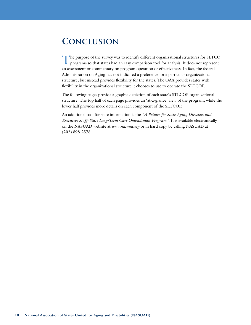### **Conclusion**

The purpose of the survey was to identify different organizational structures for SLTCO programs so that states had an easy comparison tool for analysis. It does not represent an assessment or commentary on program operation or effectiveness. In fact, the federal Administration on Aging has not indicated a preference for a particular organizational structure, but instead provides flexibility for the states. The OAA provides states with flexibility in the organizational structure it chooses to use to operate the SLTCOP.

The following pages provide a graphic depiction of each state's STLCOP organizational structure. The top half of each page provides an 'at-a-glance' view of the program, while the lower half provides more details on each component of the SLTCOP.

An additional tool for state information is the *"A Primer for State Aging Directors and Executive Staff: State Long-Term Care Ombudsman Program".* It is available electronically on the NASUAD website at *www.nasuad.org* or in hard copy by calling NASUAD at (202) 898-2578.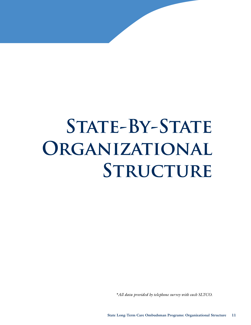# STATE-BY-STATE **ORGANIZATIONAL STRUCTURE**

*\*All data provided by telephone survey with each SLTCO.*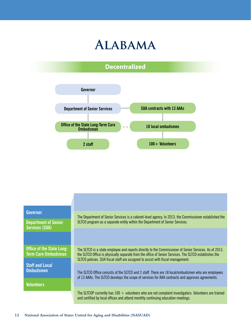





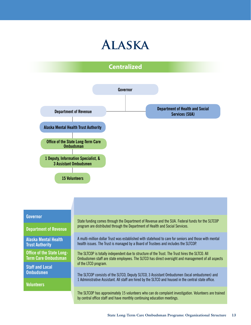### **Alaska**

### **Centralized**



#### **Governor**

**Department of Revenue**

**Alaska Mental Health Trust Authority**

**Office of the State Long-Term Care Ombudsman**

**Staff and Local Ombudsmen**

**Volunteers**

State funding comes through the Department of Revenue and the SUA. Federal funds for the SLTCOP program are distributed through the Department of Health and Social Services.

A multi-million dollar Trust was established with statehood to care for seniors and those with mental health issues. The Trust is managed by a Board of Trustees and includes the SLTCOP.

The SLTCOP is totally independent due to structure of the Trust. The Trust hires the SLTCO. All Ombudsmen staff are state employees. The SLTCO has direct oversight and management of all aspects of the LTCO program.

The SLTCOP consists of the SLTCO, Deputy SLTCO, 3 Assistant Ombudsmen (local ombudsmen) and 1 Administrative Assistant. All staff are hired by the SLTCO and housed in the central state office.

The SLTCOP has approximately 15 volunteers who can do complaint investigation. Volunteers are trained by central office staff and have monthly continuing education meetings.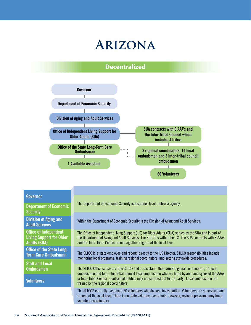## **Arizona**

### **Decentralized**



#### **Governor**

**Department of Economic Security**

**Division of Aging and Adult Services**

**Office of Independent Living Support for Older Adults (SUA)**

**Office of the State Long-Term Care Ombudsman**

**Staff and Local Ombudsmen**

**Volunteers**

The Department of Economic Security is a cabinet-level umbrella agency.

Within the Department of Economic Security is the Division of Aging and Adult Services.

The Office of Independent Living Support (ILS) for Older Adults (SUA) serves as the SUA and is part of the Department of Aging and Adult Services. The SLTCO is within the ILS. The SUA contracts with 8 AAAs and the Inter-Tribal Council to manage the program at the local level.

The SLTCO is a state employee and reports directly to the ILS Director. STLCO responsibilities include monitoring local programs, training regional coordinators, and setting statewide procedures.

The SLTCO Office consists of the SLTCO and 1 assistant. There are 8 regional coordinators, 14 local ombudsmen and four Inter-Tribal Council local ombudsmen who are hired by and employees of the AAAs or Inter-Tribal Council. Contracted entities may not contract out to 3rd party. Local ombudsmen are trained by the regional coordinators.

The SLTCOP currently has about 60 volunteers who do case investigation. Volunteers are supervised and trained at the local level. There is no state volunteer coordinator however, regional programs may have volunteer coordinators.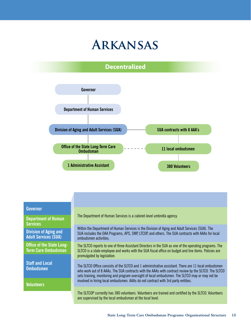### **Arkansas**

### **Decentralized**



#### **Governor**

**Department of Human Services**

**Division of Aging and Adult Services (SUA)**

**Office of the State Long-Term Care Ombudsman**

**Staff and Local Ombudsmen**

**Volunteers**

The Department of Human Services is a cabinet-level umbrella agency.

Within the Department of Human Services is the Division of Aging and Adult Services (SUA). The SUA includes the OAA Programs, APS, SMP, LTCOP, and others. The SUA contracts with AAAs for local ombudsmen activities.

The SLTCO reports to one of three Assistant Directors in the SUA as one of the operating programs. The SLTCO is a state employee and works with the SUA fiscal office on budget and line items. Policies are promulgated by legislation.

The SLTCO Office consists of the SLTCO and 1 administrative assistant. There are 11 local ombudsmen who work out of 8 AAAs. The SUA contracts with the AAAs with contract review by the SLTCO. The SLTCO sets training, monitoring and program oversight of local ombudsmen. The SLTCO may or may not be involved in hiring local ombudsmen. AAAs do not contract with 3rd party entities.

The SLTCOP currently has 380 volunteers. Volunteers are trained and certified by the SLTCO. Volunteers are supervised by the local ombudsman at the local level.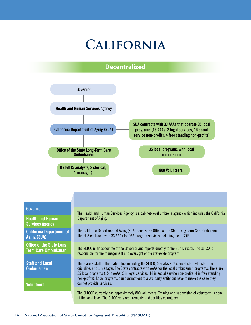## **California**

### **Decentralized**



#### **Governor**

**Health and Human Services Agency**

**California Department of Aging (SUA)**

**Office of the State Long-Term Care Ombudsman**

**Staff and Local Ombudsmen**

**Volunteers**

The Health and Human Services Agency is a cabinet-level umbrella agency which includes the California Department of Aging.

The California Department of Aging (SUA) houses the Office of the State Long-Term Care Ombudsman. The SUA contracts with 33 AAAs for OAA program services including the LTCOP.

The SLTCO is an appointee of the Governor and reports directly to the SUA Director. The SLTCO is responsible for the management and oversight of the statewide program.

There are 9 staff in the state office including the SLTCO, 5 analysts, 2 clerical staff who staff the crisisline, and 1 manager. The State contracts with AAAs for the local ombudsman programs. There are 35 local programs (15 in AAAs, 2 in legal services, 14 in social service non-profits, 4 in free standing non-profits). Local programs can contract out to a 3rd party entity but have to make the case they cannot provide services.

The SLTCOP currently has approximately 800 volunteers. Training and supervision of volunteers is done at the local level. The SLTCO sets requirements and certifies volunteers.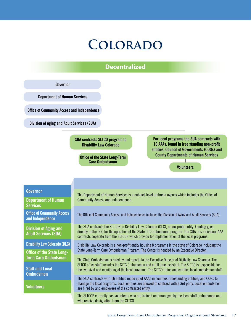## **Colorado**

#### **Decentralized**

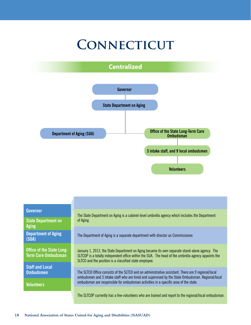# **CONNECTICUT**

### **Centralized**



| <b>Governor</b> |  |  |  |
|-----------------|--|--|--|
|                 |  |  |  |
|                 |  |  |  |

**State Department on Aging Department of Aging (SUA)**

**Office of the State Long-Term Care Ombudsman**

**Staff and Local Ombudsmen**

**Volunteers**

The State Department on Aging is a cabinet-level umbrella agency which includes the Department of Aging.

The Department of Aging is a separate department with director as Commissioner.

January 1, 2013, the State Department on Aging became its own separate stand-alone agency. The SLTCOP is a totally independent office within the SUA. The head of the umbrella agency appoints the SLTCO and the position is a classified state employee.

The SLTCO Office consists of the SLTCO and an administrative assistant. There are 9 regional/local ombudsmen and 3 intake staff who are hired and supervised by the State Ombudsman. Regional/local ombudsmen are responsible for ombudsman activities in a specific area of the state.

The SLTCOP currently has a few volunteers who are trained and report to the regional/local ombudsman.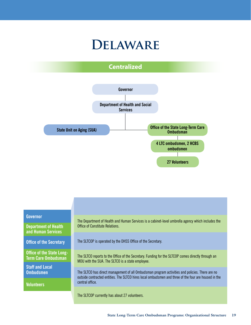## **Delaware**

### **Centralized**





**Department of Health and Human Services**

**Office of the Secretary**

**Office of the State Long-Term Care Ombudsman**

**Staff and Local Ombudsmen**

**Volunteers**

The Department of Health and Human Services is a cabinet-level umbrella agency which includes the Office of Constitute Relations.

The SLTCOP is operated by the DHSS Office of the Secretary.

The SLTCO reports to the Office of the Secretary. Funding for the SLTCOP comes directly through an MOU with the SUA. The SLTCO is a state employee.

The SLTCO has direct management of all Ombudsman program activities and policies. There are no outside contracted entities. The SLTCO hires local ombudsmen and three of the four are housed in the central office.

The SLTCOP currently has about 27 volunteers.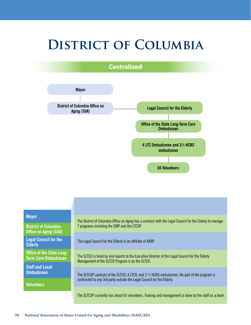## **DISTRICT OF COLUMBIA**

**Centralized**



| <b>Mayor</b>                                                   | The District of Columbia Office on Aging has a contract with the Legal Council for the Elderly to manage                                                                          |  |
|----------------------------------------------------------------|-----------------------------------------------------------------------------------------------------------------------------------------------------------------------------------|--|
| <b>District of Columbia</b><br><b>Office on Aging (SUA)</b>    | 7 programs including the SMP and the LTCOP.                                                                                                                                       |  |
| <b>Legal Council for the</b><br><b>Elderly</b>                 | The Legal Council for the Elderly is an affiliate of AARP.                                                                                                                        |  |
| <b>Office of the State Long-</b><br><b>Term Care Ombudsman</b> | The SLTCO is hired by and reports to the Executive Director of the Legal Council for the Elderly.<br>Management of the SLTCO Program is by the SLTCO.                             |  |
| <b>Staff and Local</b>                                         |                                                                                                                                                                                   |  |
| <b>Ombudsmen</b>                                               | The SLTCOP consists of the SLTCO, 4 LTCO, and $3 \frac{1}{2}$ HCBS ombudsmen. No part of the program is<br>contracted to any 3rd party outside the Legal Council for the Elderly. |  |
| <b>Volunteers</b>                                              |                                                                                                                                                                                   |  |
|                                                                | The SLTCOP currently has about 65 volunteers. Training and management is done by the staff as a team.                                                                             |  |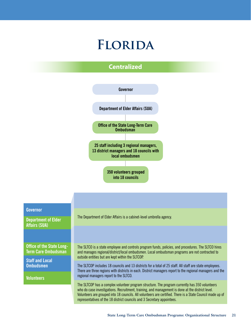## **Florida**

### **Centralized**

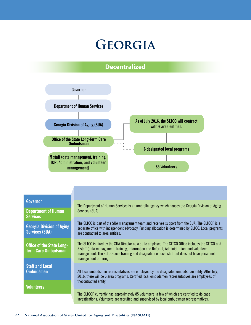## **Georgia**

### **Decentralized**



#### **Governor**

**Department of Human Services**

**Georgia Division of Aging Services (SUA)**

**Office of the State Long-Term Care Ombudsman**

**Staff and Local Ombudsmen**

**Volunteers**

The Department of Human Services is an umbrella agency which houses the Georgia Division of Aging Services (SUA).

The SLTCO is part of the SUA management team and receives support from the SUA. The SLTCOP is a separate office with independent advocacy. Funding allocation is determined by SLTCO. Local programs are contracted to area entities.

The SLTCO is hired by the SUA Director as a state employee. The SLTCO Office includes the SLTCO and 5 staff (data management, training, Information and Referral, Administration, and volunteer management. The SLTCO does training and designation of local staff but does not have personnel management or hiring.

All local ombudsmen representatives are employed by the designated ombudsman entity. After July, 2016, there will be 6 area programs. Certified local ombudsmen representatives are employees of thecontracted entity.

The SLTCOP currently has approximately 85 volunteers, a few of which are certified to do case investigations. Volunteers are recruited and supervised by local ombudsmen representatives.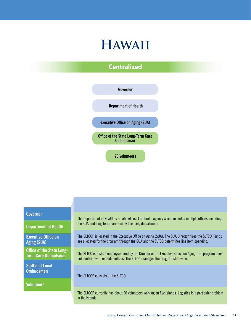## **Hawaii**

### **Centralized**



#### **Governor**

**Department of Health**

**Executive Office on Aging (SUA)**

**Office of the State Long-Term Care Ombudsman**

**Staff and Local Ombudsmen**

**Volunteers**

The Department of Health is a cabinet-level umbrella agency which includes multiple offices including the SUA and long-term care facility licensing departments.

The SLTCOP is located in the Executive Office on Aging (SUA). The SUA Director hires the SLTCO. Funds are allocated for the program through the SUA and the SLTCO determines line item spending.

The SLTCO is a state employee hired by the Director of the Executive Office on Aging. The program does not contract with outside entities. The SLTCO manages the program statewide.

The SLTCOP consists of the SLTCO.

The SLTCOP currently has about 20 volunteers working on five islands. Logistics is a particular problem in the islands.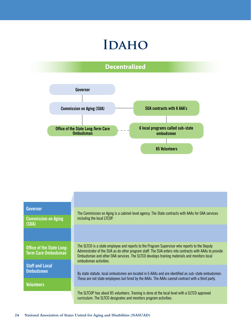## **IDAHO**

### **Decentralized**



| Governor<br><b>Commission on Aging</b>                         | The Commission on Aging is a cabinet-level agency. The State contracts with AAAs for OAA services<br>including the local LTCOP.                                                                                                                                                                                                |
|----------------------------------------------------------------|--------------------------------------------------------------------------------------------------------------------------------------------------------------------------------------------------------------------------------------------------------------------------------------------------------------------------------|
| (SUA)                                                          |                                                                                                                                                                                                                                                                                                                                |
|                                                                |                                                                                                                                                                                                                                                                                                                                |
| <b>Office of the State Long-</b><br><b>Term Care Ombudsman</b> | The SLTCO is a state employee and reports to the Program Supervisor who reports to the Deputy<br>Administrator of the SUA as do other program staff. The SUA enters into contracts with AAAs to provide<br>Ombudsman and other OAA services. The SLTCO develops training materials and monitors local<br>ombudsman activities. |
| <b>Staff and Local</b><br><b>Ombudsmen</b>                     | By state statute, local ombudsmen are located in 6 AAAs and are identified as sub-state ombudsmen.<br>These are not state employees but hired by the AAAs. The AAAs cannot contract with a third party.                                                                                                                        |
| Volunteers                                                     | The SLTCOP has about 85 volunteers. Training is done at the local level with a SLTCO approved<br>curriculum. The SLTCO designates and monitors program activities.                                                                                                                                                             |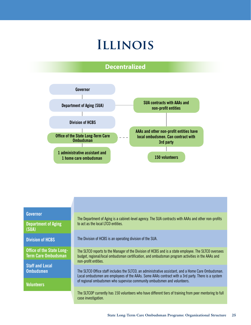### **Illinois**

### **Decentralized**



#### **Governor**

**Department of Aging (SUA)**

**Division of HCBS**

**Office of the State Long-Term Care Ombudsman**

**Staff and Local Ombudsmen**

**Volunteers**

The Department of Aging is a cabinet-level agency. The SUA contracts with AAAs and other non-profits to act as the local LTCO entities.

The Division of HCBS is an operating division of the SUA.

The SLTCO reports to the Manager of the Division of HCBS and is a state employee. The SLTCO oversees budget, regional/local ombudsman certification, and ombudsman program activities in the AAAs and non-profit entities.

The SLTCO Office staff includes the SLTCO, an administrative assistant, and a Home Care Ombudsman. Local ombudsmen are employees of the AAAs. Some AAAs contract with a 3rd party. There is a system of regional ombudsmen who supervise community ombudsmen and volunteers.

The SLTCOP currently has 150 volunteers who have different tiers of training from peer mentoring to full case investigation.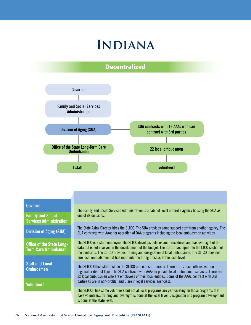## **Indiana**

### **Decentralized**



#### **Governor**

**Family and Social Services Administration**

**Division of Aging (SUA)**

**Office of the State Long-Term Care Ombudsman**

**Staff and Local Ombudsmen**

**Volunteers**

The Family and Social Services Administration is a cabinet-level umbrella agency housing the SUA as one of its divisions.

The State Aging Director hires the SLTCO. The SUA provides some support staff from another agency. The SUA contracts with AAAs for operation of OAA programs including the local ombudsman activities.

The SLTCO is a state employee. The SLTCO develops policies and procedures and has oversight of the data but is not involved in the development of the budget. The SLTCO has input into the LTCO section of the contracts. The SLTCO provides training and designation of local ombudsmen. The SLTCO does not hire local ombudsmen but has input into the hiring process at the local level.

The SLTCO Office staff include the SLTCO and one staff person. There are 17 local offices with no regional or district layer. The SUA contracts with AAAs to provide local ombudsman services. There are 22 local ombudsmen who are employees of their local entities. Some of the AAAs contract with 3rd parties (2 are in non-profits, and 6 are in legal services agencies).

The SLTCOP has some volunteers but not all local programs are participating. In those programs that have volunteers, training and oversight is done at the local level. Designation and program development is done at the state level.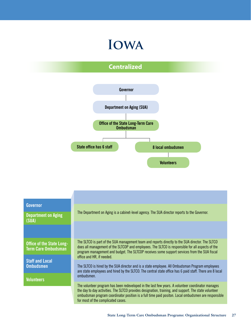## **Iowa**

### **Centralized**



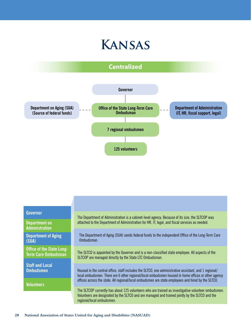





#### **Governor**

**Department on Administration**

**Department of Aging (SUA)**

**Office of the State Long-Term Care Ombudsman**

**Staff and Local Ombudsmen**

**Volunteers**

The Department of Administration is a cabinet-level agency. Because of its size, the SLTCOP was attached to the Department of Administration for HR, IT, legal, and fiscal services as needed.

The Department of Aging (SUA) sends federal funds to the independent Office of the Long-Term Care Ombudsman.

The SLTCO is appointed by the Governor and is a non-classified state employee. All aspects of the SLTCOP are managed directly by the State LTC Ombudsman.

Housed in the central office, staff includes the SLTCO, one administrative assistant, and 1 regional/ local ombudsmen. There are 6 other regional/local ombudsmen housed in home offices or other agency offices across the state. All regional/local ombudsmen are state employees and hired by the SLTCO.

The SLTCOP currently has about 125 volunteers who are trained as investigative volunteer ombudsmen. Volunteers are designated by the SLTCO and are managed and trained jointly by the SLTCO and the regional/local ombudsmen.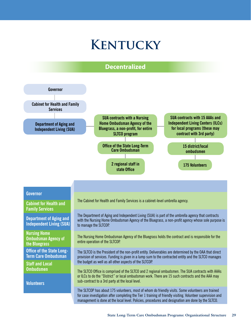## **Kentucky**

#### **Decentralized**

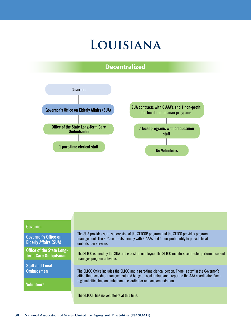## **Louisiana**

### **Decentralized**



#### **Governor**

**Governor's Office on Elderly Affairs (SUA)** 

**Office of the State Long-Term Care Ombudsman**

**Staff and Local Ombudsmen**

**Volunteers**

The SUA provides state supervision of the SLTCOP program and the SLTCO provides program management. The SUA contracts directly with 6 AAAs and 1 non-profit entity to provide local ombudsman services.

The SLTCO is hired by the SUA and is a state employee. The SLTCO monitors contractor performance and manages program activities.

The SLTCO Office includes the SLTCO and a part-time clerical person. There is staff in the Governor's office that does data management and budget. Local ombudsmen report to the AAA coordinator. Each regional office has an ombudsman coordinator and one ombudsman.

The SLTCOP has no volunteers at this time.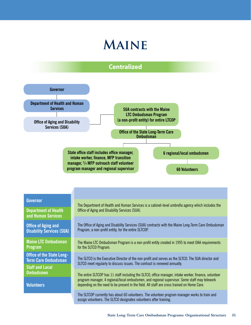## **Maine**

### **Centralized**



for the SLTCO Program.

**Maine LTC Ombudsman Program**

**Office of the State Long-Term Care Ombudsman Staff and Local** 

**Ombudsmen**

**Volunteers**

The Maine LTC Ombudsman Program is a non-profit entity created in 1995 to meet OAA requirements

The SLTCO is the Executive Director of the non-profit and serves as the SLTCO. The SUA director and SLTCO meet regularly to discuss issues. The contract is renewed annually.

The entire SLTCOP has 11 staff including the SLTCO, office manager, intake worker, finance, volunteer program manager, 4 regional/local ombudsmen, and regional supervisor. Some staff may telework depending on the need to be present in the field. All staff are cross trained on Home Care.

The SLTCOP currently has about 60 volunteers. The volunteer program manager works to train and assign volunteers. The SLTCO designates volunteers after training.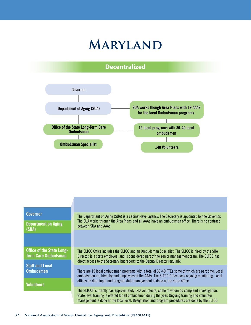## **Maryland**

### **Decentralized**



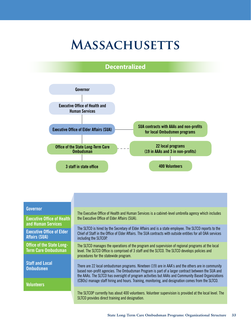## **Massachusetts**

#### **Decentralized**



#### **Governor**

**Executive Office of Health and Human Services**

**Executive Office of Elder Affairs (SUA)** 

**Office of the State Long-Term Care Ombudsman**

**Staff and Local Ombudsmen**

**Volunteers**

The Executive Office of Health and Human Services is a cabinet-level umbrella agency which includes the Executive Office of Elder Affairs (SUA).

The SLTCO is hired by the Secretary of Elder Affairs and is a state employee. The SLTCO reports to the Chief of Staff in the Office of Elder Affairs. The SUA contracts with outside entities for all OAA services including the SLTCOP.

The SLTCO manages the operations of the program and supervision of regional programs at the local level. The SLTCO Office is comprised of 3 staff and the SLTCO. The SLTCO develops policies and procedures for the statewide program.

There are 22 local ombudsman programs. Nineteen (19) are in AAA's and the others are in community based non-profit agencies. The Ombudsman Program is part of a larger contract between the SUA and the AAAs. The SLTCO has oversight of program activities but AAAs and Community Based Organizations (CBOs) manage staff hiring and hours. Training, monitoring, and designation comes from the SLTCO.

The SLTCOP currently has about 400 volunteers. Volunteer supervision is provided at the local level. The SLTCO provides direct training and designation.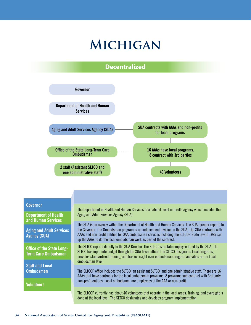## **Michigan**

### **Decentralized**



#### **Governor**

**Department of Health and Human Services**

**Aging and Adult Services Agency (SUA)**

**Office of the State Long-Term Care Ombudsman**

**Staff and Local Ombudsmen**

**Volunteers**

The Department of Health and Human Services is a cabinet-level umbrella agency which includes the Aging and Adult Services Agency (SUA).

The SUA is an agency within the Department of Health and Human Services. The SUA director reports to the Governor. The Ombudsman program is an independent division in the SUA. The SUA contracts with AAAs and non-profit entities for OAA ombudsman services including the SLTCOP. State law in 1987 set up the AAAs to do the local ombudsman work as part of the contract.

The SLTCO reports directly to the SUA Director. The SLTCO is a state employee hired by the SUA. The SLTCO has input into budget through the SUA fiscal office. The SLTCO designates local programs, provides standardized training, and has oversight over ombudsman program activities at the local ombudsman level.

The SLTCOP office includes the SLTCO, an assistant SLTCO, and one administrative staff. There are 16 AAAs that have contracts for the local ombudsman programs. 8 programs sub contract with 3rd party non-profit entities. Local ombudsmen are employees of the AAA or non-profit.

The SLTCOP currently has about 40 volunteers that operate in the local areas. Training, and oversight is done at the local level. The SLTCO designates and develops program implementation.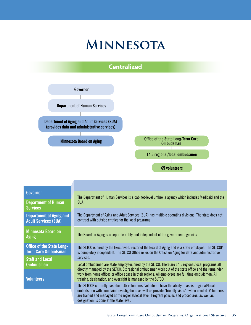## **Minnesota**



#### **Governor**

**Department of Human Services**

**Department of Aging and Adult Services (SUA)**

**Minnesota Board on** 

**Office of the State Long-Term Care Ombudsman**

**Staff and Local Ombudsmen**

**Volunteers**

The Department of Human Services is a cabinet-level umbrella agency which includes Medicaid and the SUA.

The Department of Aging and Adult Services (SUA) has multiple operating divisions. The state does not contract with outside entities for the local programs.

Aging **The Board on Aging is a separate entity and independent of the government agencies.** 

The SLTCO is hired by the Executive Director of the Board of Aging and is a state employee. The SLTCOP is completely independent. The SLTCO Office relies on the Office on Aging for data and administrative services.

Local ombudsmen are state employees hired by the SLTCO. There are 14.5 regional/local programs all directly managed by the SLTCO. Six regional ombudsmen work out of the state office and the remainder work from home offices or office space in their regions. All employees are full time ombudsmen. All training, designation, and oversight is managed by the SLTCO.

The SLTCOP currently has about 45 volunteers. Volunteers have the ability to assist regional/local ombudsmen with complaint investigations as well as provide "friendly visits", when needed. Volunteers are trained and managed at the regional/local level. Program policies and procedures, as well as designation, is done at the state level.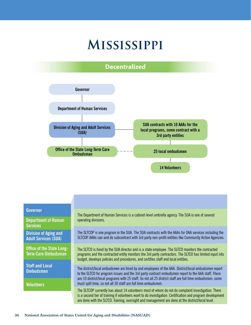## **Mississippi**

#### **Decentralized**



#### **Governor**

**Department of Human Services**

**Division of Aging and Adult Services (SUA)** 

**Office of the State Long-Term Care Ombudsman**

**Staff and Local Ombudsmen**

**Volunteers**

The Department of Human Services is a cabinet-level umbrella agency. The SUA is one of several operating divisions.

The SLTCOP is one program in the SUA. The SUA contracts with the AAAs for OAA services including the SLTCOP. AAAs can and do subcontract with 3rd party non-profit entities like Community Action Agencies.

The SLTCO is hired by the SUA director and is a state employee. The SLTCO monitors the contracted programs and the contracted entity monitors the 3rd party contractors. The SLTCO has limited input into budget, develops policies and procedures, and certifies staff and local entities.

The district/local ombudsmen are hired by and employees of the AAA. District/local ombudsmen report to the SLTCO for program issues and the 3rd party contract ombudsmen report to the AAA staff. There are 10 district/local programs with 25 staff. So not all 25 district staff are full time ombudsmen; some must split time, so not all 30 staff are full time ombudsmen.

The SLTCOP currently has about 14 volunteers most of whom do not do complaint investigation. There is a second tier of training if volunteers want to do investigation. Certification and program development are done with the SLTCO. Training, oversight and management are done at the district/local level.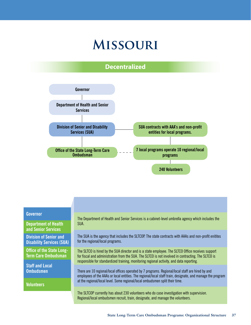## **Missouri**

### **Decentralized**



#### **Governor**

**Department of Health and Senior Services**

**Division of Senior and Disability Services (SUA)**

**Office of the State Long-Term Care Ombudsman**

**Staff and Local Ombudsmen**

**Volunteers**

The Department of Health and Senior Services is a cabinet-level umbrella agency which includes the SUA.

The SUA is the agency that includes the SLTCOP. The state contracts with AAAs and non-profit enitites for the regional/local programs.

The SLTCO is hired by the SUA director and is a state employee. The SLTCO Office receives support for fiscal and administration from the SUA. The SLTCO is not involved in contracting. The SLTCO is responsible for standardized training, monitoring regional activity, and data reporting.

There are 10 regional/local offices operated by 7 programs. Regional/local staff are hired by and employees of the AAAs or local entities. The regional/local staff train, designate, and manage the program at the regional/local level. Some regional/local ombudsmen split their time.

The SLTCOP currently has about 230 volunteers who do case investigation with supervision. Regional/local ombudsmen recruit, train, designate, and manage the volunteers.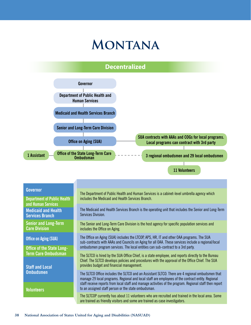## **Montana**

### **Decentralized**



The SLTCOP currently has about 11 volunteers who are recruited and trained in the local area. Some are trained as friendly visitors and some are trained as case investigators.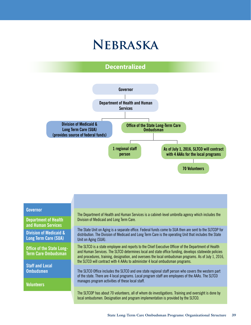## **Nebraska**

### **Decentralized**



#### **Governor**

**Department of Health and Human Services**

**Division of Medicaid & Long Term Care (SUA)**

**Office of the State Long-Term Care Ombudsman**

**Staff and Local Ombudsmen**

**Volunteers**

The Department of Health and Human Services is a cabinet-level umbrella agency which includes the Division of Medicaid and Long Term Care.

The State Unit on Aging is a separate office. Federal funds come to SUA then are sent to the SLTCOP for distribution. The Division of Medicaid and Long Term Care is the operating Unit that includes the State Unit on Aging (SUA).

The SLTCO is a state employee and reports to the Chief Executive Officer of the Department of Health and Human Services. The SLTCO determines local and state office funding, develops statewide policies and procedures, training, designation, and oversees the local ombudsman programs. As of July 1, 2016, the SLTCO will contract with 4 AAAs to administer 4 local ombudsman programs.

The SLTCO Office includes the SLTCO and one state regional staff person who covers the western part of the state. There are 4 local programs. Local program staff are employees of the AAAs. The SLTCO manages program activities of these local staff.

The SLTCOP has about 70 volunteers, all of whom do investigations. Training and oversight is done by local ombudsmen. Designation and program implementation is provided by the SLTCO.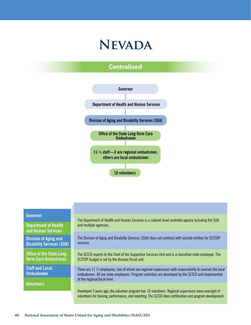### **Nevada**

### **Centralized**



#### **Governor**

**Department of Health and Human Services**

**Division of Aging and Disability Services (SUA)** 

**Office of the State Long-Term Care Ombudsman**

**Staff and Local Ombudsmen**

**Volunteers**

The Department of Health and Human Services is a cabinet-level umbrella agency including the SUA and multiple agencies.

The Division of Aging and Disability Services (SUA) does not contract with outside entities for SLTCOP services.

The SLTCO reports to the Chief of the Supportive Services Unit and is a classified state employee. The SLTCOP budget is set by the division fiscal unit.

There are 11 ½ employees, two of whom are regional supervisors with responsibility to oversee the local ombudsmen. All are state employees. Program activities are developed by the SLTCO and implemented at the regional/local level.

Developed 3 years ago, the volunteer program has 10 volunteers. Regional supervisors have oversight of volunteers for training, performance, and reporting. The SLTCO does certification and program development.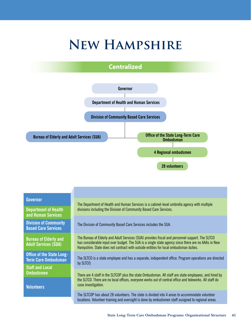## **New Hampshire**

### **Centralized**



#### **Governor**

**Department of Health and Human Services**

**Division of Community Based Care Services**

**Bureau of Elderly and Adult Services (SUA)**

**Office of the State Long-Term Care Ombudsman**

**Staff and Local Ombudsmen**

**Volunteers**

The Department of Health and Human Services is a cabinet-level umbrella agency with multiple divisions including the Division of Community Based Care Services.

The Division of Community Based Care Services includes the SUA.

The Bureau of Elderly and Adult Services (SUA) provides fiscal and personnel support. The SLTCO has considerable input over budget. The SUA is a single state agency since there are no AAAs in New Hampshire. State does not contract with outside entities for local ombudsman duties.

The SLTCO is a state employee and has a separate, independent office. Program operations are directed by SLTCO.

There are 4 staff in the SLTCOP plus the state Ombudsman. All staff are state employees, and hired by the SLTCO. There are no local offices, everyone works out of central office and teleworks. All staff do case investigation.

The SLTCOP has about 28 volunteers. The state is divided into 4 areas to accommodate volunteer locations. Volunteer training and oversight is done by ombudsmen staff assigned to regional areas.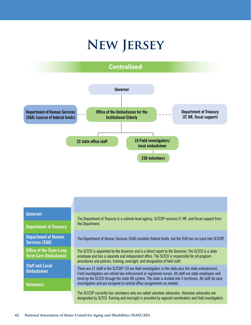# **New Jersey**



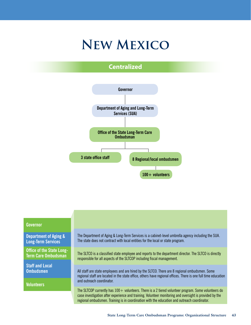# **New Mexico**

### **Centralized**



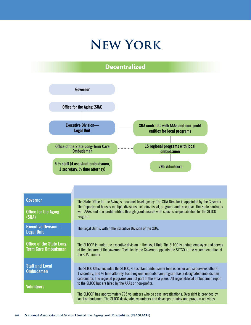## **New York**

### **Decentralized**



**Governor**

**Office for the Aging (SUA)**

**Executive Division— Legal Unit**

**Office of the State Long-Term Care Ombudsman**

**Staff and Local Ombudsmen**

**Volunteers**

The State Office for the Aging is a cabinet-level agency. The SUA Director is appointed by the Governor. The Department houses multiple divisions including fiscal, program, and executive. The State contracts with AAAs and non-profit entities through grant awards with specific responsibilities for the SLTCO Program.

The Legal Unit is within the Executive Division of the SUA.

The SLTCOP is under the executive division in the Legal Unit. The SLTCO is a state employee and serves at the pleasure of the governor. Technically the Governor appoints the SLTCO at the recommendation of the SUA director.

The SLTCO Office includes the SLTCO, 4 assistant ombudsmen (one is senior and supervises others), 1 secretary, and ½ time attorney. Each regional ombudsman program has a designated ombudsman coordinator. The regional programs are not part of the area plans. All regional/local ombudsmen report to the SLTCO but are hired by the AAAs or non-profits.

The SLTCOP has approximately 795 volunteers who do case investigations. Oversight is provided by local ombudsmen. The SLTCO designates volunteers and develops training and program activities.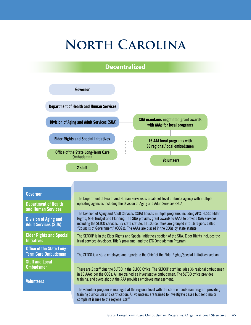# **North Carolina**

### **Decentralized**



#### **Governor**

**Department of Health and Human Services**

**Division of Aging and Adult Services (SUA)**

**Elder Rights and Special Initiatives**

**Office of the State Long-Term Care Ombudsman**

**Staff and Local Ombudsmen**

**Volunteers**

The Department of Health and Human Services is a cabinet-level umbrella agency with multiple operating agencies including the Division of Aging and Adult Services (SUA).

The Division of Aging and Adult Services (SUA) houses multiple programs including APS, HCBS, Elder Rights, MFP, Budget and Planning. The SUA provides grant awards to AAAs to provide OAA services including the SLTCO services. By state statute, all 100 counties are grouped into 16 regions called "Councils of Government" (COGs). The AAAs are placed in the COGs by state statute.

The SLTCOP is in the Elder Rights and Special Initiatives section of the SUA. Elder Rights includes the legal services developer, Title V programs, and the LTC Ombudsman Program.

The SLTCO is a state employee and reports to the Chief of the Elder Rights/Special Initiatives section.

There are 2 staff plus the SLTCO in the SLTCO Office. The SLTCOP staff includes 36 regional ombudsmen in 16 AAAs per the COGs. All are trained as investigative ombudsmen. The SLTCO office provides training, and oversight but the AAA provides employee management.

The volunteer program is managed at the regional level with the state ombudsman program providing training curriculum and certification. All volunteers are trained to investigate cases but send major complaint issues to the regional staff.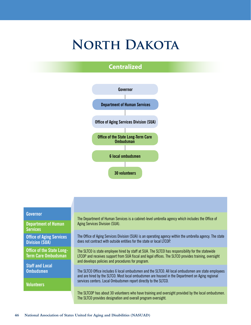## **North Dakota**

### **Centralized**



#### **Governor**

**Department of Human Services**

**Office of Aging Services Division (SUA)** 

**Office of the State Long-Term Care Ombudsman**

**Staff and Local Ombudsmen**

**Volunteers**

The Department of Human Services is a cabinet-level umbrella agency which includes the Office of Aging Services Division (SUA).

The Office of Aging Services Division (SUA) is an operating agency within the umbrella agency. The state does not contract with outside entities for the state or local LTCOP.

The SLTCO is state employee hired by staff at SUA. The SLTCO has responsibility for the statewide LTCOP and receives support from SUA fiscal and legal offices. The SLTCO provides training, oversight and develops policies and procedures for program.

The SLTCO Office includes 6 local ombudsmen and the SLTCO. All local ombudsmen are state employees and are hired by the SLTCO. Most local ombudsmen are housed in the Department on Aging regional services centers. Local Ombudsmen report directly to the SLTCO.

The SLTCOP has about 30 volunteers who have training and oversight provided by the local ombudsmen. The SLTCO provides designation and overall program oversight.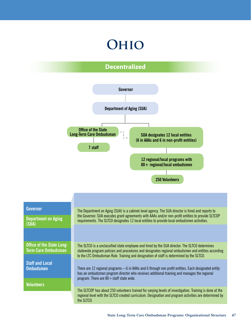# **Ohio**

### **Decentralized**



| Governor                                                       | The Department on Aging (SUA) is a cabinet-level agency. The SUA director is hired and reports to                                                                                                                                                                                                |
|----------------------------------------------------------------|--------------------------------------------------------------------------------------------------------------------------------------------------------------------------------------------------------------------------------------------------------------------------------------------------|
| <b>Department on Aging</b>                                     | the Governor. SUA executes grant agreements with AAAs and/or non-profit entities to provide SLTCOP                                                                                                                                                                                               |
| (SUA)                                                          | requirements. The SLTCO designates 12 local entities to provide local ombudsmen activities.                                                                                                                                                                                                      |
| <b>Office of the State Long-</b><br><b>Term Care Ombudsman</b> | The SLTCO is a unclassified state employee and hired by the SUA director. The SLTCO determines<br>statewide program policies and procedures and designates regional ombudsmen and entities according<br>to the LTC Ombudsman Rule. Training and designation of staff is determined by the SLTCO. |
| <b>Staff and Local</b>                                         | There are 12 regional programs—6 in AAAs and 6 through non profit entities. Each designated entity                                                                                                                                                                                               |
| <b>Ombudsmen</b>                                               | has an ombudsman program director who receives additional training and manages the regional                                                                                                                                                                                                      |
| <b>Volunteers</b>                                              | program. There are $80 +$ staff state wide.                                                                                                                                                                                                                                                      |
|                                                                | The SLTCOP has about 250 volunteers trained for varying levels of investigation. Training is done at the<br>regional level with the SLTCO created curriculum. Designation and program activities are determined by<br>the SLTCO.                                                                 |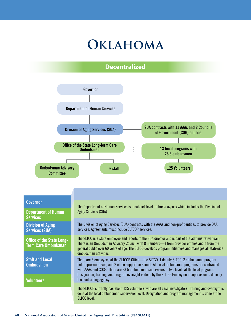## **Oklahoma**

### **Decentralized**

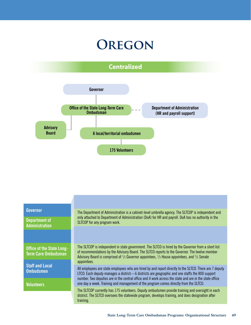## **Oregon**





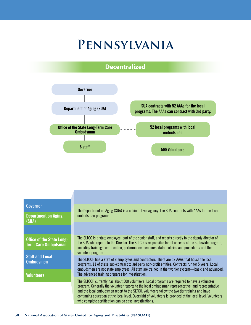## **Pennsylvania**





| <b>Governor</b><br><b>Department on Aging</b><br>(SUA)         | The Department on Aging (SUA) is a cabinet-level agency. The SUA contracts with AAAs for the local<br>ombudsman programs.                                                                                                                                                                                                                                                                                                                                                      |  |
|----------------------------------------------------------------|--------------------------------------------------------------------------------------------------------------------------------------------------------------------------------------------------------------------------------------------------------------------------------------------------------------------------------------------------------------------------------------------------------------------------------------------------------------------------------|--|
|                                                                |                                                                                                                                                                                                                                                                                                                                                                                                                                                                                |  |
| <b>Office of the State Long-</b><br><b>Term Care Ombudsman</b> | The SLTCO is a state employee, part of the senior staff, and reports directly to the deputy director of<br>the SUA who reports to the Director. The SLTCO is responsible for all aspects of the statewide program,<br>including trainings, certification, performance measures, data, policies and procedures and the                                                                                                                                                          |  |
| <b>Staff and Local</b><br><b>Ombudsmen</b>                     | volunteer program.<br>The SLTCOP has a staff of 8 employees and contractors. There are 52 AAAs that house the local<br>programs, 11 of these sub-contract to 3rd party non-profit entities. Contracts run for 5 years. Local<br>ombudsmen are not state employees. All staff are trained in the two tier system—basic and advanced.                                                                                                                                            |  |
| <b>Volunteers</b>                                              | The advanced training prepares for investigation.                                                                                                                                                                                                                                                                                                                                                                                                                              |  |
|                                                                | The SLTCOP currently has about 500 volunteers. Local programs are required to have a volunteer<br>program. Generally the volunteer reports to the local ombudsman representative, and representative<br>and the local ombudsmen report to the SLTCO. Volunteers follow the two tier training and have<br>continuing education at the local level. Oversight of volunteers is provided at the local level. Volunteers<br>who complete certification can do case investigations. |  |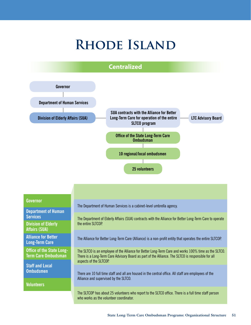# **Rhode Island**



#### **Governor**

**Department of Human Services Division of Elderly Affairs (SUA)**

**Alliance for Better Long-Term Care**

**Office of the State Long-Term Care Ombudsman**

**Staff and Local Ombudsmen**

**Volunteers**

The Department of Human Services is a cabinet-level umbrella agency.

The Department of Elderly Affairs (SUA) contracts with the Alliance for Better Long-Term Care to operate the entire SLTCOP.

The Alliance for Better Long-Term Care (Alliance) is a non-profit entity that operates the entire SLTCOP.

The SLTCO is an employee of the Alliance for Better Long-Term Care and works 100% time as the SLTCO. There is a Long-Term Care Advisory Board as part of the Alliance. The SLTCO is responsible for all aspects of the SLTCOP.

There are 10 full time staff and all are housed in the central office. All staff are employees of the Alliance and supervised by the SLTCO.

The SLTCOP has about 25 volunteers who report to the SLTCO office. There is a full time staff person who works as the volunteer coordinator.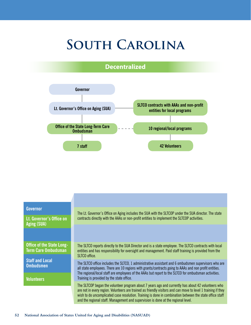# **South Carolina**

### **Decentralized**



| <b>Governor</b><br>Lt. Governor's Office on<br>Aging (SUA)     | The Lt. Governor's Office on Aging includes the SUA with the SLTCOP under the SUA director. The state<br>contracts directly with the AAAs or non-profit entities to implement the SLTCOP activities.                                                                                                                                                                                                                                                              |
|----------------------------------------------------------------|-------------------------------------------------------------------------------------------------------------------------------------------------------------------------------------------------------------------------------------------------------------------------------------------------------------------------------------------------------------------------------------------------------------------------------------------------------------------|
|                                                                |                                                                                                                                                                                                                                                                                                                                                                                                                                                                   |
| <b>Office of the State Long-</b><br><b>Term Care Ombudsman</b> | The SLTCO reports directly to the SUA Director and is a state employee. The SLTCO contracts with local<br>entities and has responsibility for oversight and management. Paid staff training is provided from the<br>SLTCO office.                                                                                                                                                                                                                                 |
| <b>Staff and Local</b><br><b>Ombudsmen</b>                     | The SLTCO office includes the SLTCO, 1 administrative assistant and 6 ombudsmen supervisors who are<br>all state employees. There are 10 regions with grants/contracts going to AAAs and non profit entities.<br>The regional/local staff are employees of the AAAs but report to the SLTCO for ombudsman activities.                                                                                                                                             |
| <b>Volunteers</b>                                              | Training is provided by the state office.<br>The SLTCOP began the volunteer program about 7 years ago and currently has about 42 volunteers who<br>are not in every region. Volunteers are trained as friendly visitors and can move to level 1 training if they<br>wish to do uncomplicated case resolution. Training is done in combination between the state office staff<br>and the regional staff. Management and supervision is done at the regional level. |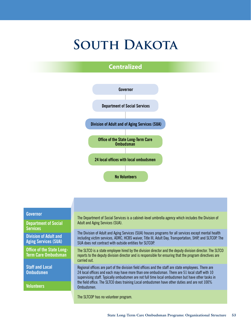# **South Dakota**

### **Centralized**



#### **Governor**

**Department of Social Services**

**Division of Adult and Aging Services (SUA)**

**Office of the State Long-Term Care Ombudsman**

**Staff and Local Ombudsmen**

**Volunteers**

The Department of Social Services is a cabinet-level umbrella agency which includes the Division of Adult and Aging Services (SUA).

The Division of Adult and Aging Services (SUA) houses programs for all services except mental health including victim services, ADRC, HCBS waiver, Title III, Adult Day, Transportation, SHIP, and SLTCOP. The SUA does not contract with outside entities for SLTCOP.

The SLTCO is a state employee hired by the division director and the deputy division director. The SLTCO reports to the deputy division director and is responsible for ensuring that the program directives are carried out.

Regional offices are part of the division field offices and the staff are state employees. There are 24 local offices and each may have more than one ombudsman. There are 51 local staff with 10 supervising staff. Typically ombudsmen are not full time local ombudsmen but have other tasks in the field office. The SLTCO does training Local ombudsmen have other duties and are not 100% Ombudsmen.

The SLTCOP has no volunteer program.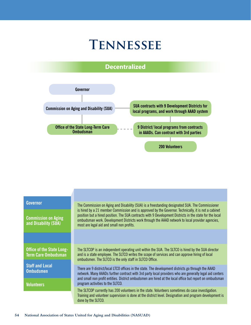## **Tennessee**

### **Decentralized**



| Governor                                                 | The Commission on Aging and Disability (SUA) is a freestanding designated SUA. The Commissioner                                                                                                                                                                                                                                                                  |  |
|----------------------------------------------------------|------------------------------------------------------------------------------------------------------------------------------------------------------------------------------------------------------------------------------------------------------------------------------------------------------------------------------------------------------------------|--|
| <b>Commission on Aging</b><br>and Disability (SUA)       | is hired by a 21 member Commission and is approved by the Governor. Technically, it is not a cabinet<br>position but a hired position. The SUA contracts with 9 Development Districts in the state for the local<br>ombudsman work. Development Districts work through the AAAD network to local provider agencies,<br>most are legal aid and small non profits. |  |
|                                                          |                                                                                                                                                                                                                                                                                                                                                                  |  |
| Office of the State Long-<br>Term Care Ombudsman         | The SLTCOP is an independent operating unit within the SUA. The SLTCO is hired by the SUA director<br>and is a state employee. The SLTCO writes the scope of services and can approve hiring of local<br>ombudsmen. The SLTCO is the only staff in SLTCO Office.                                                                                                 |  |
| <b>Staff and Local</b><br>Ombudsmen<br><b>Volunteers</b> | There are 9 district/local LTCO offices in the state. The development districts go through the AAAD<br>network. Many AAADs further contract with 3rd party local providers who are generally legal aid centers<br>and small non profit entities. District ombudsmen are hired at the local office but report on ombudsman<br>program activities to the SLTCO.    |  |
|                                                          | The SLTCOP currently has 200 volunteers in the state. Volunteers sometimes do case investigation.<br>Training and volunteer supervision is done at the district level. Designation and program development is<br>done by the SLTCO.                                                                                                                              |  |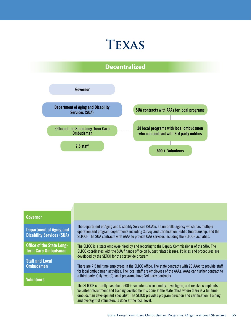### **Texas**

### **Decentralized**



#### **Governor**

**Department of Aging and Disability Services (SUA)**

**Office of the State Long-Term Care Ombudsman**

**Staff and Local Ombudsmen**

**Volunteers**

The Department of Aging and Disability Services (SUA)is an umbrella agency which has multiple operation and program departments including Survey and Certification, Public Guardianship, and the SLTCOP. The SUA contracts with AAAs to provide OAA services including the SLTCOP activities.

The SLTCO is a state employee hired by and reporting to the Deputy Commissioner of the SUA. The SLTCO coordinates with the SUA finance office on budget related issues. Policies and procedures are developed by the SLTCO for the statewide program.

There are 7.5 full time employees in the SLTCO office. The state contracts with 28 AAAs to provide staff for local ombudsman activities. The local staff are employees of the AAAs. AAAs can further contract to a third party. Only two (2) local programs have 3rd party contracts.

The SLTCOP currently has about  $500+$  volunteers who identify, investigate, and resolve complaints. Volunteer recruitment and training development is done at the state office where there is a full time ombudsman development specialist. The SLTCO provides program direction and certification. Training and oversight of volunteers is done at the local level.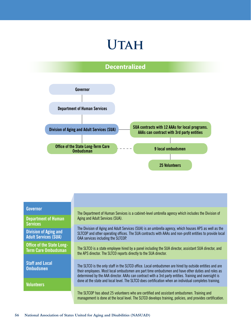## **Utah**

### **Decentralized**



#### **Governor**

**Department of Human Services**

**Division of Aging and Adult Services (SUA)**

**Office of the State Long-Term Care Ombudsman**

**Staff and Local Ombudsmen**

**Volunteers**

The Department of Human Services is a cabinet-level umbrella agency which includes the Division of Aging and Adult Services (SUA).

The Division of Aging and Adult Services (SUA) is an umbrella agency, which houses APS as well as the SLTCOP and other operating offices. The SUA contracts with AAAs and non-profit entities to provide local OAA services including the SLTCOP.

The SLTCO is a state employee hired by a panel including the SUA director, assistant SUA director, and the APS director. The SLTCO reports directly to the SUA director.

The SLTCO is the only staff in the SLTCO office. Local ombudsmen are hired by outside entities and are their employees. Most local ombudsmen are part time ombudsmen and have other duties and roles as determined by the AAA director. AAAs can contract with a 3rd party entities. Training and oversight is done at the state and local level. The SLTCO does certification when an individual completes training.

The SLTCOP has about 25 volunteers who are certified and assistant ombudsmen. Training and management is done at the local level. The SLTCO develops training, policies, and provides certification.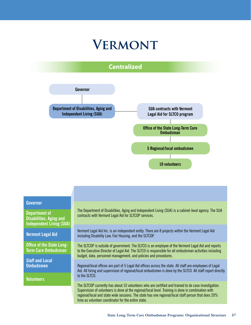## **Vermont**





#### **Governor**

**Department of Disabilities, Aging and Independent Living (SUA)** 

**Vermont Legal Aid**

**Office of the State Long-Term Care Ombudsman**

**Staff and Local Ombudsmen**

**Volunteers**

The Department of Disabilities, Aging and Independent Living (SUA) is a cabinet-level agency. The SUA contracts with Vermont Legal Aid for SLTCOP services.

Vermont Legal Aid Inc. is an independent entity. There are 8 projects within the Vermont Legal Aid including Disability Law, Fair Housing, and the SLTCOP.

The SLTCOP is outside of government. The SLTCO is an employee of the Vermont Legal Aid and reports to the Executive Director of Legal Aid. The SLTCO is responsible for all ombudsman activities including budget, data, personnel management, and policies and procedures.

Regional/local offices are part of 5 Legal Aid offices across the state. All staff are employees of Legal Aid. All hiring and supervision of regional/local ombudsmen is done by the SLTCO. All staff report directly to the SLTCO.

The SLTCOP currently has about 10 volunteers who are certified and trained to do case investigation. Supervision of volunteers is done at the regional/local level. Training is done in combination with regional/local and state wide sessions. The state has one regional/local staff person that does 20% time as volunteer coordinator for the entire state.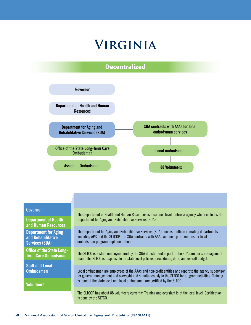## **Virginia**

### **Decentralized**



#### **Governor**

**Department of Health and Human Resources**

**Department for Aging and Rehabilitative Services (SUA)**

**Office of the State Long-Term Care Ombudsman**

**Staff and Local Ombudsmen**

**Volunteers**

The Department of Health and Human Resources is a cabinet-level umbrella agency which includes the Department for Aging and Rehabilitative Services (SUA).

The Department for Aging and Rehabilitative Services (SUA) houses multiple operating departments including APS and the SLTCOP. The SUA contracts with AAAs and non-profit entities for local ombudsman program implementation.

The SLTCO is a state employee hired by the SUA director and is part of the SUA director's management team. The SLTCO is responsible for state level policies, procedures, data, and overall budget.

Local ombudsmen are employees of the AAAs and non-profit entities and report to the agency supervisor for general management and oversight and simultaneously to the SLTCO for program activities. Training is done at the state level and local ombudsmen are certified by the SLTCO.

The SLTCOP has about 88 volunteers currently. Training and oversight is at the local level. Certification is done by the SLTCO.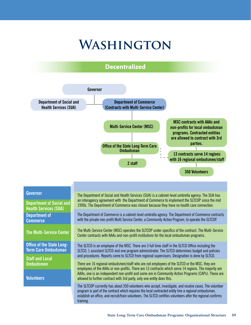## **Washington**

### **Decentralized**



#### **Governor**

**Department of Social and Health Services (SUA) Department of Commerce**

**Office of the State Long-Term Care Ombudsman**

**Staff and Local Ombudsmen**

**Volunteers**

The Department of Social and Health Services (SUA) is a cabinet-level umbrella agency. The SUA has an interagency agreement with the Department of Commerce to implement the SLTCOP since the mid 1990s. The Department of Commerce was chosen because they have no health care connection.

The Department of Commerce is a cabinet-level umbrella agency. The Department of Commerce contracts with the private non-profit Multi Service Center, a Community Action Program, to operate the SLTCOP.

**The Multi-Service Center** The Multi-Service Center (MSC) operates the SLTCOP under specifics of the contract. The Multi-Service Center contracts with AAAs and non-profit institutions for the local ombudsman programs.

> The SLTCO is an employee of the MSC. There are 3 full time staff in the SLTCO Office including the SLTCO, 1 assistant SLTCO and one program administrator. The SLTCO determines budget and policies and procedures. Reports come to SLTCO from regional supervisors. Designation is done by SLTCO.

There are 16 regional ombudsmen/staff who are not employees of the SLTCO or the MSC, they are employees of the AAAs or non-profits. There are 13 contracts which serve 14 regions. The majority are AAAs, one is an independent non-profit and some are in Community Action Programs (CAPs). These are allowed to further contract with 3rd party, only one entity does this.

The SLTCOP currently has about 350 volunteers who accept, investigate, and resolve cases. The volunteer program is part of the contract which requires the local contracted entity hire a regional ombudsman, establish an office, and recruit/train volunteers. The SLTCO certifies volunteers after the regional confirms training.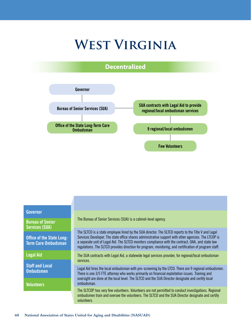## **West Virginia**



#### **Governor**

**Bureau of Senior Services (SUA)**

**Office of the State Long-Term Care Ombudsman**

**Legal Aid**

**Staff and Local Ombudsmen**

**Volunteers**

The Bureau of Senior Services (SUA) is a cabinet-level agency.

The SLTCO is a state employee hired by the SUA director. The SLTCO reports to the Title V and Legal Services Developer. The state office shares administrative support with other agencies. The LTCOP is a separate unit of Legal Aid. The SLTCO monitors compliance with the contract, OAA, and state law regulations. The SLTCO provides direction for program, monitoring, and certification of program staff.

The SUA contracts with Legal Aid, a statewide legal services provider, for regional/local ombudsman services.

Legal Aid hires the local ombudsman with pre-screening by the LTCO. There are 9 regional ombudsmen. There is one 3/5 FTE attorney who works primarily on financial exploitation issues. Training and oversight are done at the local level. The SLTCO and the SUA Director designate and certify local ombudsman.

The SLTCOP has very few volunteers. Volunteers are not permitted to conduct investigations. Regional ombudsmen train and oversee the volunteers. The SLTCO and the SUA Director designate and certify volunteers.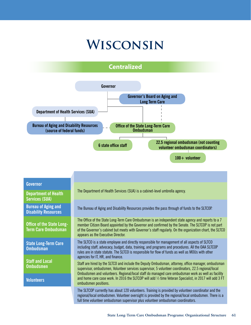## **Wisconsin**

### **Centralized**



**Volunteers**

**Ombudsmen**

Staff are hired by the SLTCO and include the Deputy Ombudsman, attorney, office manager, ombudsman supervisor, ombudsmen, Volunteer services supervisor, 5 volunteer coordinators, 22.5 regional/local Ombudsmen and volunteers. Regional/local staff do managed care ombudsman work as well as facility and home care case work. In 2016 the SLTCOP will add ½ time Veteran Specialist, in 2017 will add 3 FT ombudsmen positions.

The SLTCOP currently has about 120 volunteers. Training is provided by volunteer coordinator and the regional/local ombudsmen. Volunteer oversight is provided by the regional/local ombudsmen. There is a full time volunteer ombudsman supervisor plus volunteer ombudsman coordinators.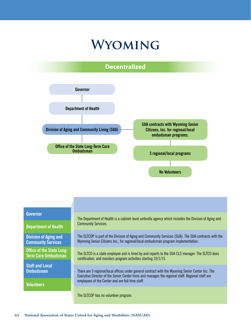## **Wyoming**





#### **Governor**

**Department of Health**

**Division of Aging and Community Services**

**Office of the State Long-Term Care Ombudsman**

**Staff and Local Ombudsmen**

**Volunteers**

The Department of Health is a cabinet-level umbrella agency which includes the Division of Aging and Community Services.

The SLTCOP is part of the Division of Aging and Community Services (SUA). The SUA contracts with the Wyoming Senior Citizens Inc., for regional/local ombudsman program implementation.

The SLTCO is a state employee and is hired by and reports to the SUA CLS manager. The SLTCO does certification, and monitors program activities starting 10/1/15.

There are 3 regional/local offices under general contract with the Wyoming Senior Center Inc. The Executive Director of the Senior Center hires and manages the regional staff. Regional staff are employees of the Center and are full time staff.

The SLTCOP has no volunteer program.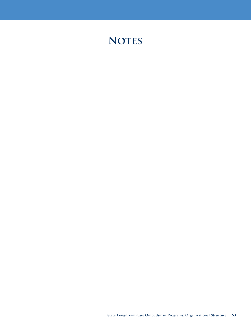### **NOTES**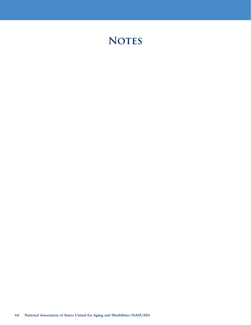### **NOTES**

**64 National Association of States United for Aging and Disabilities (NASUAD)**